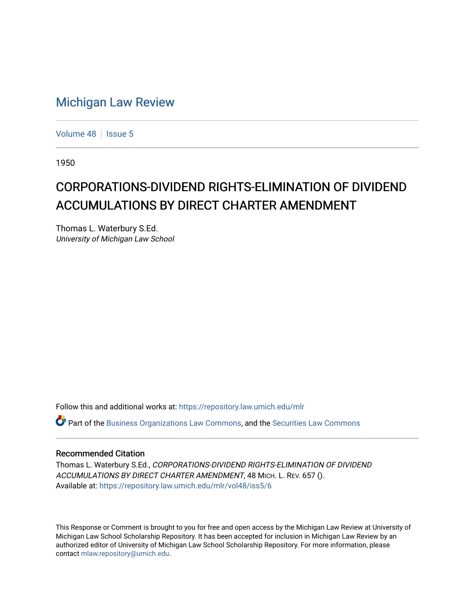## [Michigan Law Review](https://repository.law.umich.edu/mlr)

[Volume 48](https://repository.law.umich.edu/mlr/vol48) | [Issue 5](https://repository.law.umich.edu/mlr/vol48/iss5)

1950

# CORPORATIONS-DIVIDEND RIGHTS-ELIMINATION OF DIVIDEND ACCUMULATIONS BY DIRECT CHARTER AMENDMENT

Thomas L. Waterbury S.Ed. University of Michigan Law School

Follow this and additional works at: [https://repository.law.umich.edu/mlr](https://repository.law.umich.edu/mlr?utm_source=repository.law.umich.edu%2Fmlr%2Fvol48%2Fiss5%2F6&utm_medium=PDF&utm_campaign=PDFCoverPages) 

 $\bullet$  Part of the [Business Organizations Law Commons](http://network.bepress.com/hgg/discipline/900?utm_source=repository.law.umich.edu%2Fmlr%2Fvol48%2Fiss5%2F6&utm_medium=PDF&utm_campaign=PDFCoverPages), and the Securities Law Commons

#### Recommended Citation

Thomas L. Waterbury S.Ed., CORPORATIONS-DIVIDEND RIGHTS-ELIMINATION OF DIVIDEND ACCUMULATIONS BY DIRECT CHARTER AMENDMENT, 48 MICH. L. REV. 657 (). Available at: [https://repository.law.umich.edu/mlr/vol48/iss5/6](https://repository.law.umich.edu/mlr/vol48/iss5/6?utm_source=repository.law.umich.edu%2Fmlr%2Fvol48%2Fiss5%2F6&utm_medium=PDF&utm_campaign=PDFCoverPages)

This Response or Comment is brought to you for free and open access by the Michigan Law Review at University of Michigan Law School Scholarship Repository. It has been accepted for inclusion in Michigan Law Review by an authorized editor of University of Michigan Law School Scholarship Repository. For more information, please contact [mlaw.repository@umich.edu](mailto:mlaw.repository@umich.edu).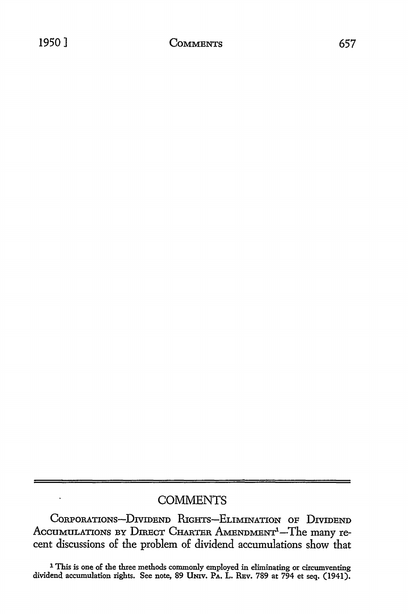## **COMMENTS**

CORPORATIONS-DIVIDEND RIGHTS-ELIMINATION OF DIVIDEND ACCUMULATIONS BY DIRECT CHARTER AMENDMENT<sup>1</sup>-The many recent discussions of the problem of dividend accumulations show that

<sup>1</sup> This is one of the three methods commonly employed in eliminating or circumventing dividend accumulation rights. See note, 89 Univ. Pa. L. REv. 789 at 794 et seq. (1941).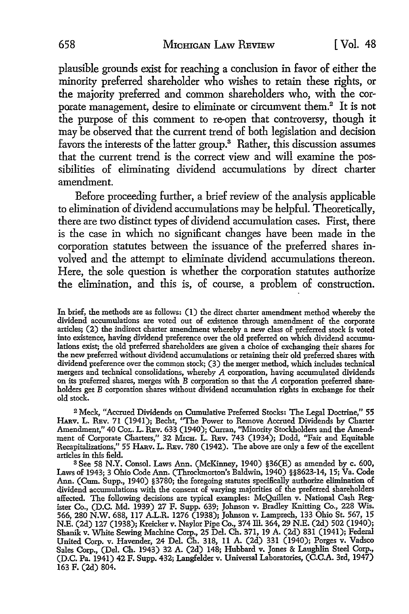plausible grounds exist for reaching a conclusion in favor of either the minority preferred shareholder who wishes to retain these rights, or the majority preferred and common shareholders who, with the corporate management, desire to eliminate or circumvent them.<sup>2</sup> It is not the purpose of this comment to re-open that controversy, though it may be observed that the current trend of both legislation and decision favors the interests of the latter group.<sup>3</sup> Rather, this discussion assumes that the current trend is the correct view and will examine the possibilities of eliminating dividend accumulations by direct charter amendment.

Before proceeding further, a brief review of the analysis applicable to elimination of dividend accumulations may be helpful. Theoretically, there are two distinct types of dividend accumulation cases. First, there is the case in which no significant changes have been made in the corporation statutes between the issuance of the preferred shares involved and the attempt to eliminate dividend accumulations thereon. Here, the sole question is whether the corporation statutes authorize the elimination, and this is, of course, a problem of construction.

<sup>2</sup>Meck, "Accrued Dividends on Cumulative Preferred Stocks: The Legal Doctrine," 55 HARv. L. REv. 71 (1941); Becht, "The Power to Remove Accrued Dividends by Charter Amendment," 40 CoL. L. REv. 633 (1940); Curran, "Minority Stockholders and the Amendment of Corporate Charters," 32 Mich. L. Rev. 743 (1934); Dodd, "Fair and Equitable Recapitalizations," 55 HARv. L. REv. 780 (1942). The above are only a few of the excellent articles in this field.

<sup>3</sup>See 58 N.Y. Consol. Laws Ann. (McKinney, 1940) §36(E) as amended by c. 600, Laws of 1943; 3 Ohio Code Ann. (Throckmorton's Baldwin, 1940) §§8623-14, 15; Va. Code Ann. (Cum. Supp., 1940) §3780; the foregoing statutes specifically authorize elimination of dividend accumulations with the consent of varying majorities of the preferred shareholders affected. The following decisions are typical examples: McQuillen v. National Cash Register Co., (D.C. Md. 1939) 27 F. Supp. 639; Johnson v. Bradley Knitting Co., 228 Wis. 566, 280 N.W. 688, 117 A.L.R. 1276 (1938); Johnson v. Lamprech, 133 Ohio St. 567, 15 N.E. (2d) 127 (1938); Kreicker v. Naylor Pipe Co., 374 ill. 364, 29 N.E. (2d) 502 (1940); Shanik v. White Sewing Machine Corp., 25 Del. Ch. 371, 19 A. (2d) 831 (1941); Federal United Corp. v. Havender, 24 Del. Ch. 318, 11 A. (2d) 331 (1940); Forges v. Vadsco Sales Corp., (Del. Ch. 1943) 32 A. (2d) 148; Hubbard v. Jones & Laughlin Steel Corp., (D.C. Pa. 1941) 42 F. Supp. 432; Langfelder v. Universal Laboratories, (C.C.A. 3rd, 1947) 163 F. (2d) 804.

In brief, the methods are as follows: (I) the direct charter amendment method whereby the dividend accumulations are voted out of existence through amendment of the corporate articles; (2) the indirect charter amendment whereby a new class of preferred stock is voted into existence, having dividend preference over the old preferred on which dividend accumulations exist; the old preferred shareholders are given a choice of exchanging their shares for the new preferred without dividend accumulations or retaining their old preferred shares with dividend preference over the common stock; (3) the merger method, which includes technical mergers and technical consolidations, whereby A corporation, having accumulated dividends on its preferred shares, merges with B corporation so that the A corporation preferred shareholders get B corporation shares without dividend accumulation rights in exchange for their old stock.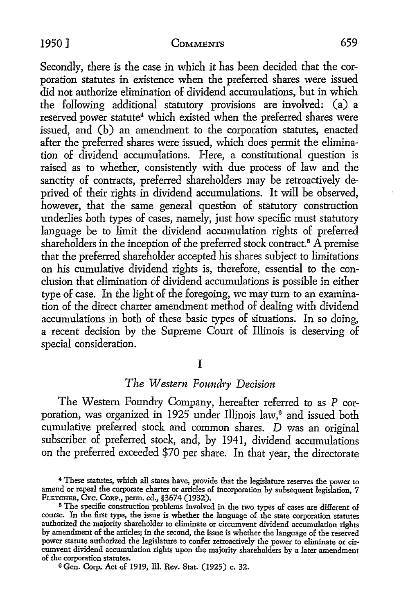#### 1950] COMMENTS 659

Secondly, there is the case in which it has been decided that the corporation statutes in existence when the preferred shares were issued did not authorize elimination of dividend accumulations, but in which the following additional statutory provisions are involved: (a) a reserved power statute<sup>4</sup> which existed when the preferred shares were issued, and (b) an amendment to the corporation statutes, enacted after the preferred shares were issued, which does permit the elimination of dividend accumulations. Here, a constitutional question is raised as to whether, consistently with due process of law and the sanctity of contracts, preferred shareholders may be retroactively deprived of their rights in dividend accumulations. It will be observed, however, that the same general question of statutory construction underlies both types of cases, namely, just how specific must statutory language be to limit the dividend accumulation rights of preferred shareholders in the inception of the preferred stock contract.<sup>5</sup>  $\overline{A}$  premise that the preferred shareholder accepted his shares subject to limitations on his cumulative dividend rights is, therefore, essential to the conclusion that elimination of dividend accumulations is possible in either type of case. In the light of the foregoing, we may tum to an examination of the direct charter amendment method of dealing with dividend accumulations in both of these basic types of situations. In so doing, a recent decision by the Supreme Court of Illinois is deserving of special consideration.

## I

## *The Western Foundry Decision*

The Western Foundry Company, hereafter referred to as P corporation, was organized in 1925 under Illinois law,<sup>6</sup> and issued both cumulative preferred stock and common shares. D was an original subscriber of preferred stock, and, by 1941, dividend accumulations on the preferred exceeded \$70 per share. In that year, the directorate

<sup>4</sup>These statutes, which all states have, provide that the legislature reserves the power to amend or repeal the corporate charter or articles of incorporation by subsequent legislation, 7 FLETCHER, CYc. ConP., perm. ed., §3674 (1932).

<sup>&</sup>lt;sup>5</sup> The specific construction problems involved in the two types of cases are different of course. In the first type, the issue is whether the language of the state corporation statutes authorized the majority shareholder to eliminate or circumvent dividend accumulation rights by amendment of the articles; in the second, the issue is whether the language of the reserved power statute authorized the legislature to confer retroactively the power to eliminate or circumvent dividend accumulation rights upon the majority shareholders by a later amendment of the corporation statutes.

<sup>6</sup> Gen. Corp. Act of 1919, Ill. Rev. Stat. (1925) c. 32.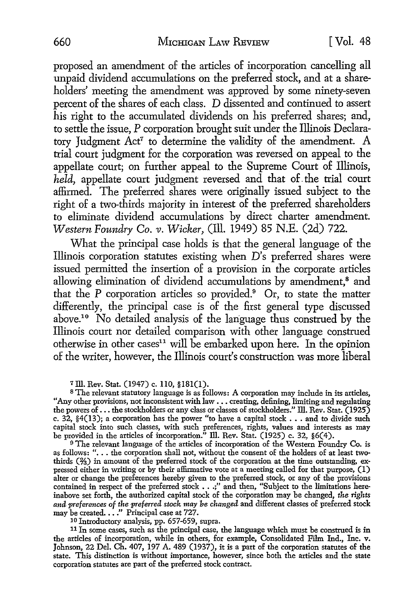proposed an amendment of the articles of incorporation cancelling all unpaid dividend accumulations on the preferred stock, and at a shareholders' meeting the amendment was approved by some ninety-seven percent of the shares of each class. D dissented and continued to assert his right to the accumulated dividends on his preferred shares; and, to settle the issue, P corporation brought suit under the Illinois Declaratory Judgment Act<sup>7</sup> to determine the validity of the amendment. A trial court judgment for the corporation was reversed on appeal to the appellate court; on further appeal to the Supreme Court of Illinois, *held,* appellate court judgment reversed and that of. the trial court affirmed. The preferred shares were originally issued subject to the right of a two-thirds majority in interest of the preferred shareholders to eliminate dividend accumulations by direct charter amendment. *Western Foundry Co. v. Wicker,* (Ill. 1949) 85 N.E. (2d) 722.

What the principal case holds is that the general language of the Illinois corporation statutes existing when D's preferred shares were issued permitted the insertion of a provision in the corporate articles allowing elimination of dividend accumulations by amendment,<sup>8</sup> and that the  $P$  corporation articles so provided.<sup>9</sup> Or, to state the matter differently, the principal case is of the first general type discussed above.10 No detailed analysis of the language thus construed by the Illinois court nor detailed comparison with other language construed otherwise in other cases<sup>11</sup> will be embarked upon here. In the opinion of the writer, however, the Illinois court's construction was more liberal

7 ill. Rev. Stat. (1947) c. llO, §181(1).

<sup>8</sup>The relevant statutory language is as follows: A corporation may include in its articles, "Any other provisions, not inconsistent with law •.. creating, defining, limiting and regulating the powers of ... the stockholders or any class or classes of stockholders." Ill. Rev. Stat. (1925) c. 32,  $§4(13)$ ; a corporation has the power "to have a capital stock  $\ldots$  and to divide such capital stock into such classes, with such preferences, rights, values and interests as may be provided in the articles of incorporation." Ill. Rev. Stat. (1925) c. 32,  $\S6(4)$ .

<sup>9</sup> The relevant language of the articles of incorporation of the Western Foundry Co. is as follows: "... the corporation shall not, without the consent of the holders of at least twothirds (%) in amount of the preferred stock of the corporation at the time outstanding, expressed either in writing or by their affirmative vote at a meeting called for that purpose, (I) alter or change the preferences hereby given to the preferred stock, or any of the provisions contained in respect of the preferred stock • . .;" and then, "Subject to the limitations hereinabove set forth, the authorized capital stock of the corporation may be changed, *the rights and preferences* of *the preferred stock may be changed* and different classes of preferred stock may be created. . . ." Principal case at 727.

10 Introductory analysis, pp. 657-659, supra.

<sup>11</sup> In some cases, such as the principal case, the language which must be construed is in the articles of incorporation, while in others, for example, Consolidated Film Ind., Inc. v. Johnson, 22 Del. Ch. 407, 197 A. 489 (1937), it is a part of the corporation statutes of the state. This distinction is without importance, however, since both the articles and the state corporation statutes are part of the preferred stock contract.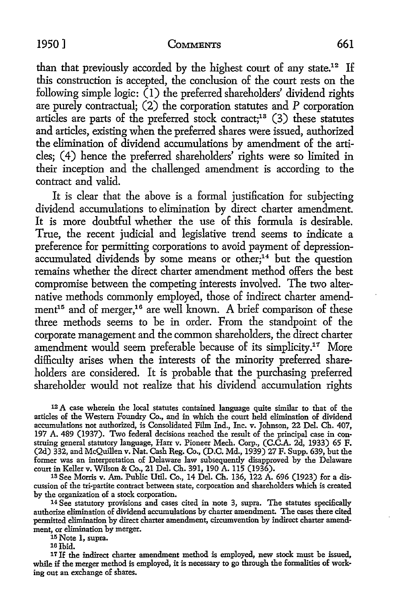#### 1950] COMMENTS 661

than that previously accorded by the highest court of any state.<sup>12</sup> If this construction is accepted, the conclusion of the court rests on the following simple logic:  $(1)$  the preferred shareholders' dividend rights are purely contractual; (2) the corporation statutes and P corporation articles are parts of the preferred stock contract;13 (3) these statutes and articles, existing when the preferred shares were issued, authorized the elimination of dividend accumulations by amendment of the articles; ( 4) hence the preferred shareholders' rights were so limited in their inception and the challenged amendment is according to the contract and valid.

It is clear that the above is a formal justification for subjecting dividend accumulations to elimination by direct charter amendment. It is more doubtful whether the use of this formula is desirable. True, the recent judicial and legislative trend seems to indicate a preference for permitting corporations to avoid payment of depression- $\alpha$ ccumulated dividends by some means or other;<sup>14</sup> but the question remains whether the direct charter amendment method offers the best compromise between the competing interests involved. The two alternative methods commonly employed, those of indirect charter amendment<sup>15</sup> and of merger,<sup>16</sup> are well known. A brief comparison of these three methods seems to be in order. From the standpoint of the corporate management and the common shareholders, the direct charter amendment would seem preferable because of its simplicity.17 More difficulty arises when the interests of the minority preferred shareholders are considered. It is probable that the purchasing preferred shareholder would not realize that his dividend accumulation rights

12 A case wherein the local statutes contained language quite similar to that of the articles of the Western Foundry Co., and in which the court held elimination of dividend accumulations not authorized, is Consolidated Film Ind., Inc. v. Johnson, 22 Del. Ch. 407, 197 A. 489 (1937). Two federal decisions reached the result of the principal case in construing general statutory language, Harr v. Pioneer Mech. Corp., (C.C.A. 2d, 1933) 65 F. (2d) 332, and McQuillen v. Nat. Cash Reg. Co., (D.C. Md., 1939) 27 F. Supp. 639, but the former was an interpretation of Delaware law subsequently disapproved by the Delaware court in Keller v. Wilson & Co., 21 Del. Ch. 391, 190 A. 115 (1936).

1s See Morris v. Am. Public Util. Co., 14 Del. Ch. 136, 122 A. 696 (1923) for a discussion of the tri-partite contract between state, corporation and shareholders which is created by the organization of a stock corporation.

<sup>14</sup> See statutory provisions and cases cited in note 3, supra. The statutes specifically authorize elimination of dividend accumulations by charter amendment. The cases there cited permitted elimination by direct charter amendment, circumvention by indirect charter amendment, or elimination by merger.

15 Note 1, supra.

10 Ibid.

17 If the indirect charter amendment method is employed, new stock must be issued, while if the merger method is employed, it is necessary to go through the formalities of working out an exchange of shares.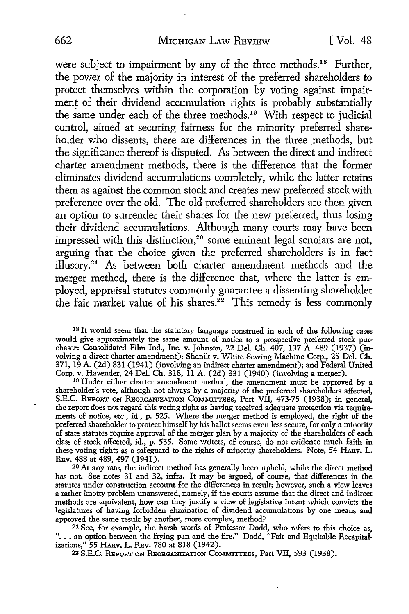were subject to impairment by any of the three methods.<sup>18</sup> Further, the power of the majority in interest of the preferred shareholders to protect themselves within the corporation by voting against impairment of their dividend accumulation rights is probably substantially the same under each of the three methods.<sup>19</sup> With respect to judicial control, aimed at securing fairness for the minority preferred shareholder who dissents, there are differences in the three methods, but the significance thereof is disputed. As between the direct and indirect charter amendment methods, there is the difference that the former eliminates dividend accumulations completely, while the latter retains them as against the common stock and creates new preferred stock with preference over the old. The old preferred shareholders are then given an option to surrender their shares for the new preferred, thus losing their dividend accumulations. Although many courts may have been impressed with this distinction,<sup>20</sup> some eminent legal scholars are not, arguing that the choice given the preferred shareholders is in fact illusory.21 As between both charter amendment methods and the merger method, there is the difference that, where the latter is employed, appraisal statutes commonly guarantee a dissenting shareholder the fair market value of his shares.<sup>22</sup> This remedy is less commonly

18 It would seem that the statutory language construed in each of the following cases would give approximately the same amount of notice to a prospective preferred stock purchaser: Consolidated Film Ind., Inc. v. Johnson, 22 Del. Ch. 407, 197 A. 489 (1937) (involving a direct charter amendment); Shanik v. White Sewing Machine Corp., 25 Del. Ch. 371, 19 A. (2d) 831 (1941) (involving an indirect charter amendment); and Federal United Corp. v. Havender, 24 Del. Ch. 318, 11 A. (2d) 331 (1940) (involving a merger).

19 Under either charter amendment method, the amendment must be approved by a shareholder's vote, although not always by a majority of the preferred shareholders affected, S.E.C. REPORT ON REORGANIZATION COMMITTEES, Part VII, 473-75 (1938); in general, the report does not regard this voting right as having received adequate protection via requirements of notice, etc., id., p. 525. Where the merger method is employed, the right of the preferred shareholder to protect himself by his ballot seems even less secure, for only a minority of state statutes require approval of the merger plan by a majority of the shareholders of each class of stock affected, id., p. 535. Some writers, of course, do not evidence much faith in these voting rights as a safeguard to the rights of minority shareholders. Note, 54 HARv. L. REv. 488 at 489, 497 (1941).

20 At any rate, the indirect method has generally been upheld, while the direct method has not. See notes 31 and 32, infra. It may be argued, of course, that differences in the statutes under construction account for the differences in result; however, such a view leaves a rather knotty problem unanswered, namely, if the courts assume that the direct and indirect methods are equivalent, how can they justify a view of legislative intent which convicts the legislatures of having forbidden elimination of dividend accumulations by one means and approved the same result by another, more complex, method?

<sup>21</sup> See, for example, the harsh words of Professor Dodd, who refers to this choice as, "... an option between the frying pan and the fire." Dodd, "Fair and Equitable Recapitalizations," 55 HARv. L. REv. 780 at 818 (1942).

22 S.E.C. REPORT ON REORGANIZATION COMMITTEES, Part VII, 593 (1938).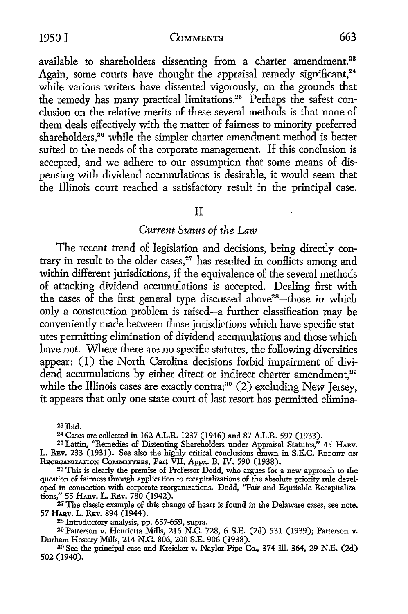1950] COMMENTS 663

available to shareholders dissenting from a charter amendment.<sup>23</sup> Again, some courts have thought the appraisal remedy significant,<sup>24</sup> while various writers have dissented vigorously, on the grounds that the remedy has many practical limitations.25 Perhaps the safest conclusion on the relative merits of these several methods is that none of them deals effectively with the matter of fairness to minority preferred shareholders,<sup>26</sup> while the simpler charter amendment method is better suited to the needs of the corporate management. If this conclusion is accepted, and we adhere to our assumption that some means of dispensing with dividend accumulations is desirable, it would seem that the Illinois court reached a satisfactory result in the principal case.

II

#### *Current Status of the Law*

The recent trend of legislation and decisions, being directly contrary in result to the older cases,<sup>27</sup> has resulted in conflicts among and within different jurisdictions, if the equivalence of the several methods of attacking dividend accumulations is accepted. Dealing first with the cases of the first general type discussed above<sup>28</sup>-those in which only a construction problem is raised-a further classification may be conveniently made between those jurisdictions which have specific statutes permitting elimination of dividend accumulations and those which have not. Where there are no specific statutes, the following diversities appear: (1) the North Carolina decisions forbid impairment of dividend accumulations by either direct or indirect charter amendment.<sup>29</sup> while the Illinois cases are exactly contra;<sup>30</sup> (2) excluding New Jersey, it appears that only one state court of last resort has permitted elimina-

<sup>23</sup> Ibid.<br><sup>24</sup> Cases are collected in 162 A.L.R. 1237 (1946) and 87 A.L.R. 597 (1933).<br><sup>25</sup> Lattin, "Remedies of Dissenting Shareholders under Appraisal Statutes," 45 HARv. L. REv. 233 (1931). See also the highly critical conclusions drawn in S.E.C. REPORT ON REORGANIZATION CoMMITrEEs, Part VII, Appx. B, IV, 590 (1938).

26 This is clearly the premise of Professor Dodd, who argues for a new approach to the question of fairness through application to recapitalizations of the absolute priority rule developed in connection with corporate reorganizations. Dodd, "Fair and Equitable Recapitalizations," 55 HARV. L. REV. 780 (1942).

<sup>27</sup> The classic example of this change of heart is found in the Delaware cases, see note, 57 HARV. L. REV. 894 (1944).

28 Introductory analysis, pp. 657-659, supra.

29 Patterson v. Henrietta Mills, 216 N.C. 728, 6 S.E. (2d) 531 (1939); Patterson v. Durham Hosiery Mills, 214 N.C. 806, 200 S.E. 906 (1938).

30 See the principal case and Kreicker v. Naylor Pipe Co., 374 ill. 364, 29 N.E. (2d) 502 (1940).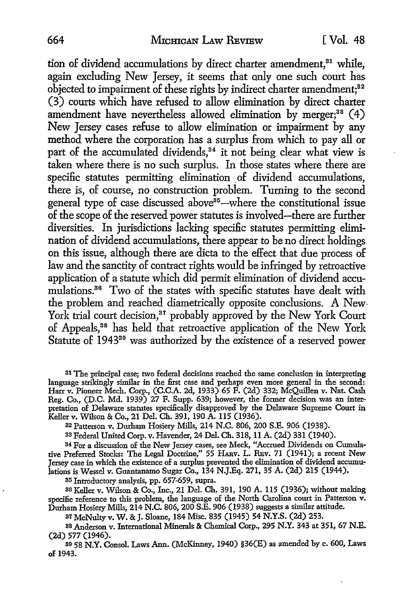tion of dividend accumulations by direct charter amendment.<sup>31</sup> while, again excluding New Jersey, it seems that only one such court has objected to impairment of these rights by indirect charter amendment:<sup>82</sup> (3) courts which have refused to allow elimination by direct charter amendment have nevertheless allowed elimination by merger; $38$  (4) New Jersey cases refuse to allow elimination or impairment by any method where the corporation has a surplus from which to pay all or part of the accumulated dividends,<sup>34</sup> it not being clear what view is taken where there is no such surplus. In those states where there are specific statutes permitting elimination of dividend accumulations, there is, of course, no construction problem. Turning to the second general type of case discussed above $35$ -where the constitutional issue of the scope of the reserved power statutes is involved-there are further diversities. In jurisdictions lacking specific statutes permitting elimination of dividend accumulations, there appear to be no direct holdings on this issue, although there are dicta to the effect that due process of law and the sanctity of contract rights would be infringed by retroactive application of a statute which did permit elimination of dividend accumulations.<sup>36</sup> Two of the states with specific statutes have dealt with the problem and reached diametrically opposite conclusions. A New-York trial court decision,<sup>37</sup> probably approved by the New York Court of Appeals,38 has held that retroactive application of the New York Statute of 1943<sup>39</sup> was authorized by the existence of a reserved power

31 The principal case; two federal decisions reached the same conclusion in interpreting language strikingly similar in the first case and perhaps even more general in the second: Harr v. Pioneer Mech. Corp., (C.C.A. 2d, 1933) 65 F. (2d) 332; McQuillen v. Nat. Cash Reg. Co., (D.C. Md. 1939) 27 F. Supp. 639; however, the former decision was an interpretation of Delaware statutes specifically disapproved by the Delaware Supreme Court in Keller v. Wilson & Co., 21 Del. Ch. 391, 190 A. 115 (1936).

33 Federal United Corp. v. Havender, 24 Del. Ch. 318, 11 A. (2d) 331 (1940).

34 For a discussion of the New Jersey cases, see Meck, "Accrued Dividends on Cumulative Preferred Stocks: The Legal Doctrine," 55 HARV. L. REv. 71 (1941); a recent New Jersey case in which the existence of a surplus prevented the elimination of dividend accumulations is Wessel v. Guantanamo Sugar Co., 134 N.J.Eq. 271, 35 A. (2d) 215 (1944).

85 Introductory analysis, pp. 657-659, supra.

36 Keller v. Wilson & Co., Inc., 21 Del. Ch. 391, 190 A. 115 (1936); without making specific reference to this problem, the language of the North Carolina court in Patterson v. Durham Hosiery Mills, 214 N.C. 806,200 S.E. 906 (1938) suggests a similar attitude.

<sup>37</sup>McNulty v. W. & J. Sloane, 184 Misc. 835 (1945) 54 N.Y.S. (2d) 253.

88 Anderson v. International Minerals & Chemical Corp., 295 N.Y. 343 at 351, 67 N.E. (2d) 577 (1946).

89 58 N.Y. Consol. Laws Ann. (McKinney, 1940) §36(E) as amended by c. 600, Laws of 1943.

<sup>32</sup>Patterson v. Durham Hosiery Mills, 214 N.C. 806, 200 S.E. 906 (1938).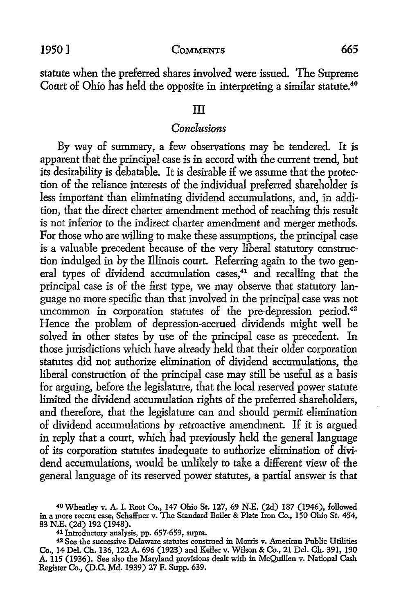statute when the preferred shares involved were issued. The Supreme Court of Ohio has held the opposite in interpreting a similar statute.<sup>40</sup>

#### III

## *Conclusions*

By way of summary, a few observations may be tendered. It is apparent that the principal case is in accord with the current trend, but its desirability is debatable. It is desirable if we assume that the protection of the reliance interests of the individual preferred shareholder is less important than eliminating dividend accumulations, and, in addition, that the direct charter amendment method of reaching this result is not inferior to the indirect charter amendment and merger methods. For those who are willing to make these assumptions, the principal case is a valuable precedent because of the very liberal statutory construction indulged in by the Illinois court. Referring again to the two general types of dividend accumulation cases,<sup>41</sup> and recalling that the principal case is of the first type, we may observe that statutory language no more specific than that involved in the principal case was not uncommon in corporation statutes of the pre-depression period.<sup>42</sup> Hence the problem of depression-accrued dividends might well be solved in other states by use of the principal case as precedent. In those jurisdictions which have already held that their older corporation statutes did not authorize elimination of dividend accumulations, the liberal construction of the principal case may still be useful as a basis for arguing, before the legislature, that the local reserved power statute limited the dividend accumulation rights of the preferred shareholders, and therefore, that the legislature can and should permit elimination of dividend accumulations by retroactive amendment. If it is argued in reply that a court, which had previously held the general language of its corporation statutes inadequate to authorize elimination of dividend accumulations, would be unlikely to take a different view of the general language of its reserved power statutes, a partial answer is that

41 Introductory analysis, pp. 657-659, supra.

<sup>40</sup>Wheatley v. A. I. Root Co., 147 Ohio St. 127, 69 N.E. (2d) 187 (1946), followed in a more recent case1 Schaffner v. The Standard Boiler & Plate Iron Co., 150 Ohio *St.* 454, 83 N.E. (2d) 192 (1948).

<sup>42</sup>See the successive Delaware statutes construed in Morris v. American Public Utilities Co., 14 Del. Ch. 136, 122 A. 696 (1923) and Keller v. Wilson & Co., 21 Del. Ch. 391, 190 A. 115 (1936). See also the Maryland provisions dealt with in McQuillen v. National Cash Register Co., (D.C. Md. 1939) 27 F. Supp. 639.